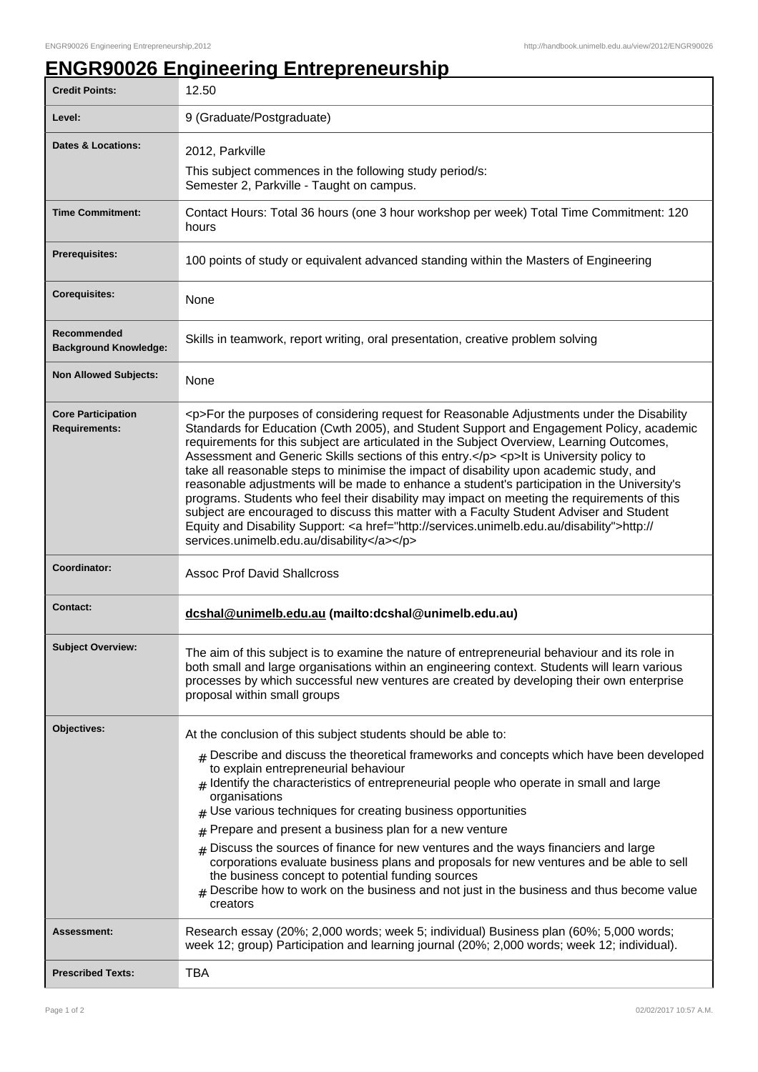## **ENGR90026 Engineering Entrepreneurship**

| <b>Credit Points:</b>                             | 12.50                                                                                                                                                                                                                                                                                                                                                                                                                                                                                                                                                                                                                                                                                                                                                                                                                                                                                                                        |
|---------------------------------------------------|------------------------------------------------------------------------------------------------------------------------------------------------------------------------------------------------------------------------------------------------------------------------------------------------------------------------------------------------------------------------------------------------------------------------------------------------------------------------------------------------------------------------------------------------------------------------------------------------------------------------------------------------------------------------------------------------------------------------------------------------------------------------------------------------------------------------------------------------------------------------------------------------------------------------------|
| Level:                                            | 9 (Graduate/Postgraduate)                                                                                                                                                                                                                                                                                                                                                                                                                                                                                                                                                                                                                                                                                                                                                                                                                                                                                                    |
| <b>Dates &amp; Locations:</b>                     | 2012, Parkville                                                                                                                                                                                                                                                                                                                                                                                                                                                                                                                                                                                                                                                                                                                                                                                                                                                                                                              |
|                                                   | This subject commences in the following study period/s:<br>Semester 2, Parkville - Taught on campus.                                                                                                                                                                                                                                                                                                                                                                                                                                                                                                                                                                                                                                                                                                                                                                                                                         |
| <b>Time Commitment:</b>                           | Contact Hours: Total 36 hours (one 3 hour workshop per week) Total Time Commitment: 120<br>hours                                                                                                                                                                                                                                                                                                                                                                                                                                                                                                                                                                                                                                                                                                                                                                                                                             |
| <b>Prerequisites:</b>                             | 100 points of study or equivalent advanced standing within the Masters of Engineering                                                                                                                                                                                                                                                                                                                                                                                                                                                                                                                                                                                                                                                                                                                                                                                                                                        |
| <b>Corequisites:</b>                              | None                                                                                                                                                                                                                                                                                                                                                                                                                                                                                                                                                                                                                                                                                                                                                                                                                                                                                                                         |
| Recommended<br><b>Background Knowledge:</b>       | Skills in teamwork, report writing, oral presentation, creative problem solving                                                                                                                                                                                                                                                                                                                                                                                                                                                                                                                                                                                                                                                                                                                                                                                                                                              |
| <b>Non Allowed Subjects:</b>                      | None                                                                                                                                                                                                                                                                                                                                                                                                                                                                                                                                                                                                                                                                                                                                                                                                                                                                                                                         |
| <b>Core Participation</b><br><b>Requirements:</b> | <p>For the purposes of considering request for Reasonable Adjustments under the Disability<br/>Standards for Education (Cwth 2005), and Student Support and Engagement Policy, academic<br/>requirements for this subject are articulated in the Subject Overview, Learning Outcomes,<br/>Assessment and Generic Skills sections of this entry.</p> <p>lt is University policy to<br/>take all reasonable steps to minimise the impact of disability upon academic study, and<br/>reasonable adjustments will be made to enhance a student's participation in the University's<br/>programs. Students who feel their disability may impact on meeting the requirements of this<br/>subject are encouraged to discuss this matter with a Faculty Student Adviser and Student<br/>Equity and Disability Support: &lt; a href="http://services.unimelb.edu.au/disability"&gt;http://<br/>services.unimelb.edu.au/disability</p> |
| Coordinator:                                      | <b>Assoc Prof David Shallcross</b>                                                                                                                                                                                                                                                                                                                                                                                                                                                                                                                                                                                                                                                                                                                                                                                                                                                                                           |
| <b>Contact:</b>                                   | dcshal@unimelb.edu.au (mailto:dcshal@unimelb.edu.au)                                                                                                                                                                                                                                                                                                                                                                                                                                                                                                                                                                                                                                                                                                                                                                                                                                                                         |
| <b>Subject Overview:</b>                          | The aim of this subject is to examine the nature of entrepreneurial behaviour and its role in<br>both small and large organisations within an engineering context. Students will learn various<br>processes by which successful new ventures are created by developing their own enterprise<br>proposal within small groups                                                                                                                                                                                                                                                                                                                                                                                                                                                                                                                                                                                                  |
| Objectives:                                       | At the conclusion of this subject students should be able to:                                                                                                                                                                                                                                                                                                                                                                                                                                                                                                                                                                                                                                                                                                                                                                                                                                                                |
|                                                   | $_{\#}$ Describe and discuss the theoretical frameworks and concepts which have been developed<br>to explain entrepreneurial behaviour<br>$#$ Identify the characteristics of entrepreneurial people who operate in small and large<br>organisations<br>Use various techniques for creating business opportunities<br>Prepare and present a business plan for a new venture<br>#<br>$#$ Discuss the sources of finance for new ventures and the ways financiers and large<br>corporations evaluate business plans and proposals for new ventures and be able to sell<br>the business concept to potential funding sources<br>Describe how to work on the business and not just in the business and thus become value                                                                                                                                                                                                         |
|                                                   | creators                                                                                                                                                                                                                                                                                                                                                                                                                                                                                                                                                                                                                                                                                                                                                                                                                                                                                                                     |
| <b>Assessment:</b>                                | Research essay (20%; 2,000 words; week 5; individual) Business plan (60%; 5,000 words;<br>week 12; group) Participation and learning journal (20%; 2,000 words; week 12; individual).                                                                                                                                                                                                                                                                                                                                                                                                                                                                                                                                                                                                                                                                                                                                        |
| <b>Prescribed Texts:</b>                          | TBA                                                                                                                                                                                                                                                                                                                                                                                                                                                                                                                                                                                                                                                                                                                                                                                                                                                                                                                          |